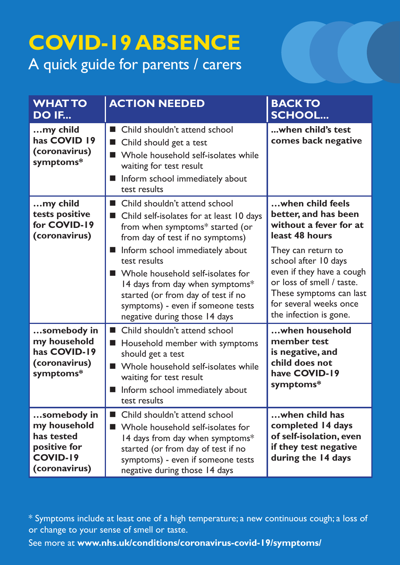## **COVID-19 ABSENCE**  A quick guide for parents / carers

| <b>WHAT TO</b><br><b>DO IF</b>                                                                | <b>ACTION NEEDED</b>                                                                                                                                                                                                   | <b>BACK TO</b><br><b>SCHOOL</b>                                                                                                       |
|-----------------------------------------------------------------------------------------------|------------------------------------------------------------------------------------------------------------------------------------------------------------------------------------------------------------------------|---------------------------------------------------------------------------------------------------------------------------------------|
| my child<br>has COVID 19<br>(coronavirus)<br>symptoms*                                        | Child shouldn't attend school<br>Child should get a test<br>Whole household self-isolates while<br>waiting for test result<br>Inform school immediately about<br>test results                                          | when child's test<br>comes back negative                                                                                              |
| my child<br>tests positive<br>for COVID-19<br>(coronavirus)                                   | Child shouldn't attend school<br>Child self-isolates for at least 10 days<br>from when symptoms* started (or<br>from day of test if no symptoms)<br>Inform school immediately about<br>test results                    | when child feels<br>better, and has been<br>without a fever for at<br>least 48 hours<br>They can return to<br>school after 10 days    |
|                                                                                               | ■ Whole household self-isolates for<br>14 days from day when symptoms*<br>started (or from day of test if no<br>symptoms) - even if someone tests<br>negative during those 14 days                                     | even if they have a cough<br>or loss of smell / taste.<br>These symptoms can last<br>for several weeks once<br>the infection is gone. |
| somebody in<br>my household<br>has COVID-19<br>(coronavirus)<br>symptoms*                     | Child shouldn't attend school<br>Household member with symptoms<br>should get a test<br>Whole household self-isolates while<br>waiting for test result<br>Inform school immediately about<br>test results              | when household<br>member test<br>is negative, and<br>child does not<br>have COVID-19<br>symptoms*                                     |
| somebody in<br>my household<br>has tested<br>positive for<br><b>COVID-19</b><br>(coronavirus) | Child shouldn't attend school<br>ш<br>Whole household self-isolates for<br>14 days from day when symptoms*<br>started (or from day of test if no<br>symptoms) - even if someone tests<br>negative during those 14 days | when child has<br>completed 14 days<br>of self-isolation, even<br>if they test negative<br>during the 14 days                         |

\* Symptoms include at least one of a high temperature; a new continuous cough; a loss of or change to your sense of smell or taste.

See more at **www.nhs.uk/conditions/coronavirus-covid-19/symptoms/**